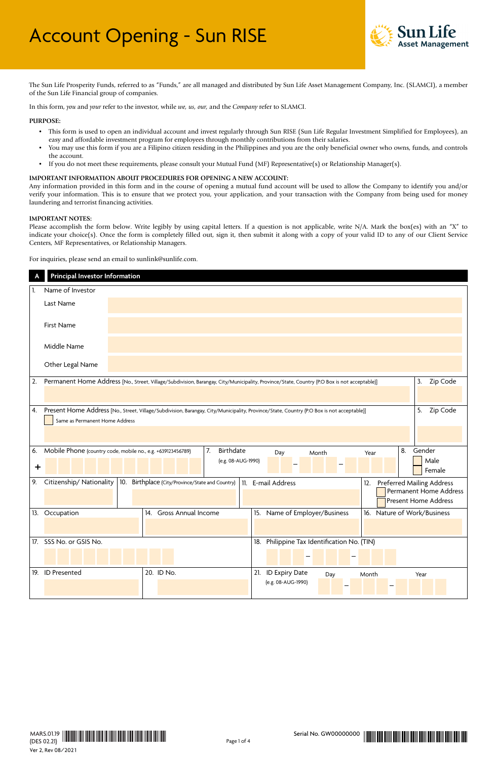

The Sun Life Prosperity Funds, referred to as "Funds," are all managed and distributed by Sun Life Asset Management Company, Inc. (SLAMCI), a member of the Sun Life Financial group of companies.

In this form, *you* and *your* refer to the investor, while *we, us, our,* and the *Company* refer to SLAMCI.

#### **PURPOSE:**

- This form is used to open an individual account and invest regularly through Sun RISE (Sun Life Regular Investment Simplified for Employees), an easy and affordable investment program for employees through monthly contributions from their salaries.
- You may use this form if you are a Filipino citizen residing in the Philippines and you are the only beneficial owner who owns, funds, and controls the account.
- If you do not meet these requirements, please consult your Mutual Fund (MF) Representative(s) or Relationship Manager(s).

#### **IMPORTANT INFORMATION ABOUT PROCEDURES FOR OPENING A NEW ACCOUNT:**

Any information provided in this form and in the course of opening a mutual fund account will be used to allow the Company to identify you and/or verify your information. This is to ensure that we protect you, your application, and your transaction with the Company from being used for money laundering and terrorist financing activities.

#### **IMPORTANT NOTES:**

Please accomplish the form below. Write legibly by using capital letters. If a question is not applicable, write N/A. Mark the box(es) with an "X" to indicate your choice(s). Once the form is completely filled out, sign it, then submit it along with a copy of your valid ID to any of our Client Service Centers, MF Representatives, or Relationship Managers.

For inquiries, please send an email to sunlink@sunlife.com.

|                 | Principal Investor Information |                                                                                                                                             |                                                                                    |
|-----------------|--------------------------------|---------------------------------------------------------------------------------------------------------------------------------------------|------------------------------------------------------------------------------------|
|                 | Name of Investor               |                                                                                                                                             |                                                                                    |
|                 | Last Name                      |                                                                                                                                             |                                                                                    |
|                 | First Name                     |                                                                                                                                             |                                                                                    |
|                 | Middle Name                    |                                                                                                                                             |                                                                                    |
|                 | Other Legal Name               |                                                                                                                                             |                                                                                    |
| 2.              |                                | Permanent Home Address [No., Street, Village/Subdivision, Barangay, City/Municipality, Province/State, Country (P.O Box is not acceptable)] | Zip Code<br>3.                                                                     |
| 4.              | Same as Permanent Home Address | Present Home Address [No., Street, Village/Subdivision, Barangay, City/Municipality, Province/State, Country (P.O Box is not acceptable)]   | 5.<br>Zip Code                                                                     |
| 6.<br>$\ddot{}$ |                                | Birthdate<br>7.<br>Mobile Phone (country code, mobile no., e.g. +639123456789)<br>Month<br>Year<br>Day<br>(e.g. 08-AUG-1990)                | Gender<br>8.<br>Male<br>Female                                                     |
| 9.              | Citizenship/Nationality        | 10.<br>Birthplace (City/Province/State and Country)<br>11. E-mail Address<br>12.                                                            | Preferred Mailing Address<br>Permanent Home Address<br><b>Present Home Address</b> |
|                 | 13. Occupation                 | 14. Gross Annual Income<br>15. Name of Employer/Business                                                                                    | 16. Nature of Work/Business                                                        |
|                 | 17. SSS No. or GSIS No.        | 18. Philippine Tax Identification No. (TIN)                                                                                                 |                                                                                    |
|                 | 19. ID Presented               | 20. ID No.<br>21. ID Expiry Date<br>Day<br>Month<br>(e.g. 08-AUG-1990)                                                                      | Year                                                                               |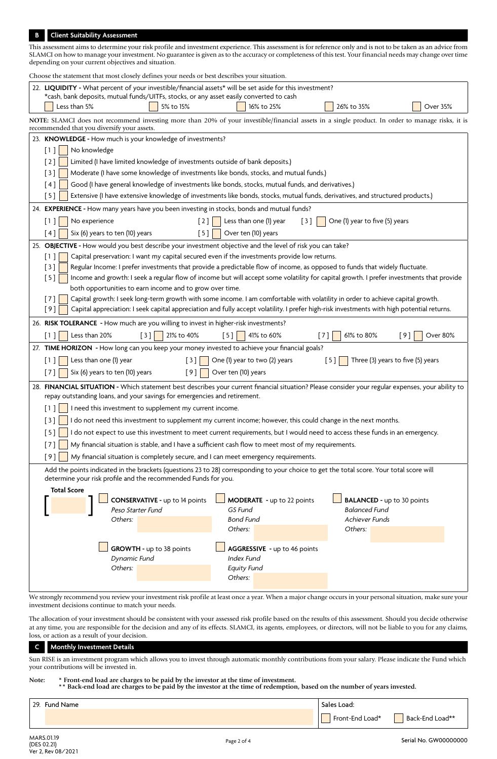# **B Client Suitability Assessment**

| This assessment aims to determine your risk profile and investment experience. This assessment is for reference only and is not to be taken as an advice from<br>SLAMCI on how to manage your investment. No guarantee is given as to the accuracy or completeness of this test. Your financial needs may change over time<br>depending on your current objectives and situation. |  |  |  |  |  |  |  |  |
|-----------------------------------------------------------------------------------------------------------------------------------------------------------------------------------------------------------------------------------------------------------------------------------------------------------------------------------------------------------------------------------|--|--|--|--|--|--|--|--|
| Choose the statement that most closely defines your needs or best describes your situation.                                                                                                                                                                                                                                                                                       |  |  |  |  |  |  |  |  |
| 22. LIQUIDITY - What percent of your investible/financial assets* will be set aside for this investment?                                                                                                                                                                                                                                                                          |  |  |  |  |  |  |  |  |
| *cash, bank deposits, mutual funds/UITFs, stocks, or any asset easily converted to cash                                                                                                                                                                                                                                                                                           |  |  |  |  |  |  |  |  |
| Less than 5%<br>5% to 15%<br>16% to 25%<br>26% to 35%<br>Over 35%                                                                                                                                                                                                                                                                                                                 |  |  |  |  |  |  |  |  |
| NOTE: SLAMCI does not recommend investing more than 20% of your investible/financial assets in a single product. In order to manage risks, it is<br>recommended that you diversify your assets.                                                                                                                                                                                   |  |  |  |  |  |  |  |  |
| 23. KNOWLEDGE - How much is your knowledge of investments?                                                                                                                                                                                                                                                                                                                        |  |  |  |  |  |  |  |  |
| No knowledge<br>$[1]$                                                                                                                                                                                                                                                                                                                                                             |  |  |  |  |  |  |  |  |
| $[2]$<br>Limited (I have limited knowledge of investments outside of bank deposits.)                                                                                                                                                                                                                                                                                              |  |  |  |  |  |  |  |  |
| Moderate (I have some knowledge of investments like bonds, stocks, and mutual funds.)<br>[3]                                                                                                                                                                                                                                                                                      |  |  |  |  |  |  |  |  |
| Good (I have general knowledge of investments like bonds, stocks, mutual funds, and derivatives.)<br>$\lceil 4 \rceil$                                                                                                                                                                                                                                                            |  |  |  |  |  |  |  |  |
| Extensive (I have extensive knowledge of investments like bonds, stocks, mutual funds, derivatives, and structured products.)<br>[5]                                                                                                                                                                                                                                              |  |  |  |  |  |  |  |  |
| 24. EXPERIENCE - How many years have you been investing in stocks, bonds and mutual funds?                                                                                                                                                                                                                                                                                        |  |  |  |  |  |  |  |  |
| Less than one (1) year<br>One (1) year to five (5) years<br>No experience<br>$\lceil 2 \rceil$<br>$\begin{bmatrix} 3 \end{bmatrix}$<br>$[1]$                                                                                                                                                                                                                                      |  |  |  |  |  |  |  |  |
| Over ten (10) years<br>Six (6) years to ten (10) years<br>[5]<br>[4]                                                                                                                                                                                                                                                                                                              |  |  |  |  |  |  |  |  |
| 25. OBJECTIVE - How would you best describe your investment objective and the level of risk you can take?                                                                                                                                                                                                                                                                         |  |  |  |  |  |  |  |  |
| Capital preservation: I want my capital secured even if the investments provide low returns.<br>$\lceil 1 \rceil$                                                                                                                                                                                                                                                                 |  |  |  |  |  |  |  |  |
| Regular Income: I prefer investments that provide a predictable flow of income, as opposed to funds that widely fluctuate.<br>[3]                                                                                                                                                                                                                                                 |  |  |  |  |  |  |  |  |
| Income and growth: I seek a regular flow of income but will accept some volatility for capital growth. I prefer investments that provide<br>[5]                                                                                                                                                                                                                                   |  |  |  |  |  |  |  |  |
| both opportunities to earn income and to grow over time.<br>Capital growth: I seek long-term growth with some income. I am comfortable with volatility in order to achieve capital growth.<br>$[7]$                                                                                                                                                                               |  |  |  |  |  |  |  |  |
| Capital appreciation: I seek capital appreciation and fully accept volatility. I prefer high-risk investments with high potential returns.<br>[9]                                                                                                                                                                                                                                 |  |  |  |  |  |  |  |  |
|                                                                                                                                                                                                                                                                                                                                                                                   |  |  |  |  |  |  |  |  |
| 26. RISK TOLERANCE - How much are you willing to invest in higher-risk investments?                                                                                                                                                                                                                                                                                               |  |  |  |  |  |  |  |  |
| Less than 20%<br>21% to 40%<br>41% to 60%<br>61% to 80%<br>[9]<br>$[3]$<br>$[5]$<br>Over 80%<br>$[1]$<br>$[7]$                                                                                                                                                                                                                                                                    |  |  |  |  |  |  |  |  |
| 27. TIME HORIZON - How long can you keep your money invested to achieve your financial goals?                                                                                                                                                                                                                                                                                     |  |  |  |  |  |  |  |  |
| Less than one (1) year<br>$[3]$<br>One (1) year to two (2) years<br>[5]<br>Three (3) years to five (5) years<br>$[1]$                                                                                                                                                                                                                                                             |  |  |  |  |  |  |  |  |
| [9]<br>Six (6) years to ten (10) years<br>Over ten (10) years<br>[7]                                                                                                                                                                                                                                                                                                              |  |  |  |  |  |  |  |  |
| 28. FINANCIAL SITUATION - Which statement best describes your current financial situation? Please consider your regular expenses, your ability to                                                                                                                                                                                                                                 |  |  |  |  |  |  |  |  |
| repay outstanding loans, and your savings for emergencies and retirement.                                                                                                                                                                                                                                                                                                         |  |  |  |  |  |  |  |  |
| $\begin{bmatrix} 1 \end{bmatrix}$ I need this investment to supplement my current income.                                                                                                                                                                                                                                                                                         |  |  |  |  |  |  |  |  |
| [3]<br>I do not need this investment to supplement my current income; however, this could change in the next months.                                                                                                                                                                                                                                                              |  |  |  |  |  |  |  |  |
| I do not expect to use this investment to meet current requirements, but I would need to access these funds in an emergency.<br>[5]                                                                                                                                                                                                                                               |  |  |  |  |  |  |  |  |
| My financial situation is stable, and I have a sufficient cash flow to meet most of my requirements.<br>$[7]$                                                                                                                                                                                                                                                                     |  |  |  |  |  |  |  |  |
| [9]<br>My financial situation is completely secure, and I can meet emergency requirements.                                                                                                                                                                                                                                                                                        |  |  |  |  |  |  |  |  |
| Add the points indicated in the brackets (questions 23 to 28) corresponding to your choice to get the total score. Your total score will<br>determine your risk profile and the recommended Funds for you.                                                                                                                                                                        |  |  |  |  |  |  |  |  |
| <b>Total Score</b>                                                                                                                                                                                                                                                                                                                                                                |  |  |  |  |  |  |  |  |
| <b>CONSERVATIVE - up to 14 points</b><br>MODERATE - up to 22 points<br><b>BALANCED - up to 30 points</b>                                                                                                                                                                                                                                                                          |  |  |  |  |  |  |  |  |
| <b>Balanced Fund</b><br>Peso Starter Fund<br>GS Fund                                                                                                                                                                                                                                                                                                                              |  |  |  |  |  |  |  |  |
| Others:<br><b>Bond Fund</b><br>Achiever Funds<br>Others:<br>Others:                                                                                                                                                                                                                                                                                                               |  |  |  |  |  |  |  |  |
|                                                                                                                                                                                                                                                                                                                                                                                   |  |  |  |  |  |  |  |  |
| <b>GROWTH - up to 38 points</b><br>AGGRESSIVE - up to 46 points                                                                                                                                                                                                                                                                                                                   |  |  |  |  |  |  |  |  |
| Dynamic Fund<br>Index Fund                                                                                                                                                                                                                                                                                                                                                        |  |  |  |  |  |  |  |  |
| Others:<br><b>Equity Fund</b>                                                                                                                                                                                                                                                                                                                                                     |  |  |  |  |  |  |  |  |
| Others:                                                                                                                                                                                                                                                                                                                                                                           |  |  |  |  |  |  |  |  |
| We strongly recommend you review your investment risk profile at least once a year. When a major change occurs in your personal situation, make sure your                                                                                                                                                                                                                         |  |  |  |  |  |  |  |  |

We strongly recommend you review your investment risk profile at least once a year. When a major change occurs in your personal situation, make sure your investment decisions continue to match your needs.

The allocation of your investment should be consistent with your assessed risk profile based on the results of this assessment. Should you decide otherwise at any time, you are responsible for the decision and any of its effects. SLAMCI, its agents, employees, or directors, will not be liable to you for any claims, loss, or action as a result of your decision.

# **C Monthly Investment Details**

Sun RISE is an investment program which allows you to invest through automatic monthly contributions from your salary. Please indicate the Fund which your contributions will be invested in.

### **Note: \* Front-end load are charges to be paid by the investor at the time of investment.**

**\*\* Back-end load are charges to be paid by the investor at the time of redemption, based on the number of years invested.**

| 29. Fund Name | Sales Load:     |                 |
|---------------|-----------------|-----------------|
|               | Front-End Load* | Back-End Load** |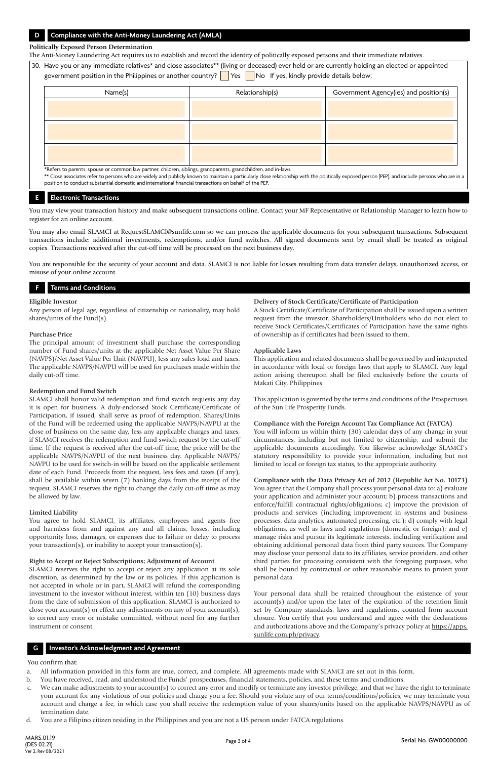# **D Compliance with the Anti-Money Laundering Act (AMLA)**

### **Politically Exposed Person Determination**

The Anti-Money Laundering Act requires us to establish and record the identity of politically exposed persons and their immediate relatives.

30. Have you or any immediate relatives\* and close associates\*\* (living or deceased) ever held or are currently holding an elected or appointed government position in the Philippines or another country?  $\Box$  Yes  $\Box$  No If yes, kindly provide details below:

| Name(s)                                                                                                                              | Relationship(s) | Government Agency(ies) and position(s) |
|--------------------------------------------------------------------------------------------------------------------------------------|-----------------|----------------------------------------|
|                                                                                                                                      |                 |                                        |
|                                                                                                                                      |                 |                                        |
|                                                                                                                                      |                 |                                        |
|                                                                                                                                      |                 |                                        |
|                                                                                                                                      |                 |                                        |
| <b>An if the activities</b> to the conservers of the contract distribution the boom of the contract and distribution of distribution |                 |                                        |

Refers to parents, spouse or common law partner, children, siblings, grandparents, grandchildren, and in-laws \*\* Close associates refer to persons who are widely and publicly known to maintain a particularly close relationship with the politically exposed person (PEP), and include persons who are in a

position to conduct substantial domestic and international financial transactions on behalf of the PEP.

## **E Electronic Transactions**

You may view your transaction history and make subsequent transactions online. Contact your MF Representative or Relationship Manager to learn how to register for an online account.

You may also email SLAMCI at RequestSLAMCI@sunlife.com so we can process the applicable documents for your subsequent transactions. Subsequent transactions include: additional investments, redemptions, and/or fund switches. All signed documents sent by email shall be treated as original copies. Transactions received after the cut-off time will be processed on the next business day.

You are responsible for the security of your account and data. SLAMCI is not liable for losses resulting from data transfer delays, unauthorized access, or misuse of your online account.

### **F Terms and Conditions**

#### **Eligible Investor**

Any person of legal age, regardless of citizenship or nationality, may hold shares/units of the Fund(s).

#### **Purchase Price**

The principal amount of investment shall purchase the corresponding number of Fund shares/units at the applicable Net Asset Value Per Share (NAVPS)/Net Asset Value Per Unit (NAVPU), less any sales load and taxes. The applicable NAVPS/NAVPU will be used for purchases made within the daily cut-off time.

#### **Redemption and Fund Switch**

SLAMCI shall honor valid redemption and fund switch requests any day it is open for business. A duly-endorsed Stock Certificate/Certificate of Participation, if issued, shall serve as proof of redemption. Shares/Units of the Fund will be redeemed using the applicable NAVPS/NAVPU at the close of business on the same day, less any applicable charges and taxes, if SLAMCI receives the redemption and fund switch request by the cut-off time. If the request is received after the cut-off time, the price will be the applicable NAVPS/NAVPU of the next business day. Applicable NAVPS/ NAVPU to be used for switch-in will be based on the applicable settlement date of each Fund. Proceeds from the request, less fees and taxes (if any), shall be available within seven (7) banking days from the receipt of the request. SLAMCI reserves the right to change the daily cut-off time as may be allowed by law.

#### **Limited Liability**

You agree to hold SLAMCI, its affiliates, employees and agents free and harmless from and against any and all claims, losses, including opportunity loss, damages, or expenses due to failure or delay to process your transaction(s), or inability to accept your transaction(s).

#### **Right to Accept or Reject Subscriptions; Adjustment of Account**

SLAMCI reserves the right to accept or reject any application at its sole discretion, as determined by the law or its policies. If this application is not accepted in whole or in part, SLAMCI will refund the corresponding investment to the investor without interest, within ten (10) business days from the date of submission of this application. SLAMCI is authorized to close your account(s) or effect any adjustments on any of your account(s), to correct any error or mistake committed, without need for any further instrument or consent.

### **Delivery of Stock Certificate/Certificate of Participation**

A Stock Certificate/Certificate of Participation shall be issued upon a written request from the investor. Shareholders/Unitholders who do not elect to receive Stock Certificates/Certificates of Participation have the same rights of ownership as if certificates had been issued to them.

#### **Applicable Laws**

This application and related documents shall be governed by and interpreted in accordance with local or foreign laws that apply to SLAMCI. Any legal action arising thereupon shall be filed exclusively before the courts of Makati City, Philippines.

This application is governed by the terms and conditions of the Prospectuses of the Sun Life Prosperity Funds.

#### **Compliance with the Foreign Account Tax Compliance Act (FATCA)**

You will inform us within thirty (30) calendar days of any change in your circumstances, including but not limited to citizenship, and submit the applicable documents accordingly. You likewise acknowledge SLAMCI's statutory responsibility to provide your information, including but not limited to local or foreign tax status, to the appropriate authority.

# **Compliance with the Data Privacy Act of 2012 (Republic Act No. 10173)**

You agree that the Company shall process your personal data to: a) evaluate your application and administer your account; b) process transactions and enforce/fulfill contractual rights/obligations; c) improve the provision of products and services (including improvement in systems and business processes, data analytics, automated processing, etc.); d) comply with legal obligations, as well as laws and regulations (domestic or foreign); and e) manage risks and pursue its legitimate interests, including verification and obtaining additional personal data from third party sources. The Company may disclose your personal data to its affiliates, service providers, and other third parties for processing consistent with the foregoing purposes, who shall be bound by contractual or other reasonable means to protect your personal data.

Your personal data shall be retained throughout the existence of your account(s) and/or upon the later of the expiration of the retention limit set by Company standards, laws and regulations, counted from account closure. You certify that you understand and agree with the declarations and authorizations above and the Company's privacy policy at https://apps. sunlife.com.ph/privacy.

# **G Investor's Acknowledgment and Agreement**

### You confirm that:

- a. All information provided in this form are true, correct, and complete. All agreements made with SLAMCI are set out in this form.
- b. You have received, read, and understood the Funds' prospectuses, financial statements, policies, and these terms and conditions.
- c. We can make adjustments to your account(s) to correct any error and modify or terminate any investor privilege, and that we have the right to terminate your account for any violations of our policies and charge you a fee. Should you violate any of our terms/conditions/policies, we may terminate your account and charge a fee, in which case you shall receive the redemption value of your shares/units based on the applicable NAVPS/NAVPU as of termination date.
- d. You are a Filipino citizen residing in the Philippines and you are not a US person under FATCA regulations.